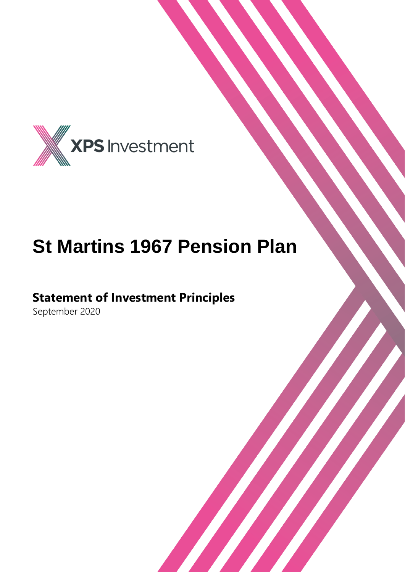

## **St Martins 1967 Pension Plan**

### **Statement of Investment Principles**

September 2020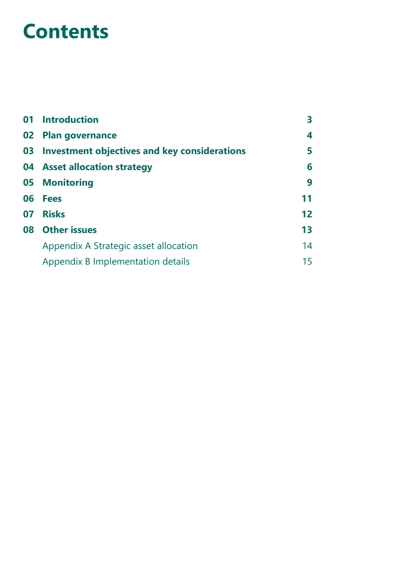### **Contents**

|    | 01 Introduction                              |    |
|----|----------------------------------------------|----|
| 02 | <b>Plan governance</b>                       | 4  |
| 03 | Investment objectives and key considerations | 5  |
|    | 04 Asset allocation strategy                 | 6  |
| 05 | <b>Monitoring</b>                            | 9  |
| 06 | <b>Fees</b>                                  | 11 |
| 07 | <b>Risks</b>                                 | 12 |
|    | 08 Other issues                              | 13 |
|    | Appendix A Strategic asset allocation        | 14 |
|    | Appendix B Implementation details            | 15 |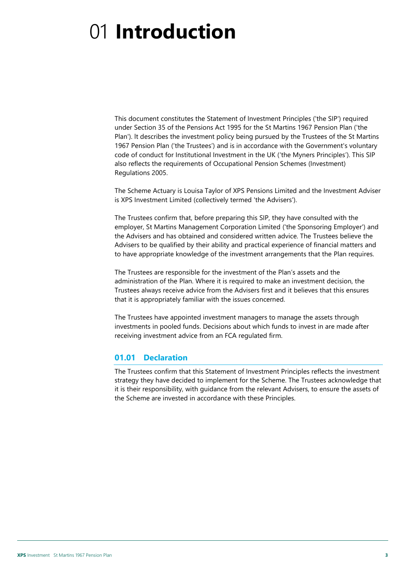# <span id="page-2-0"></span>01 **Introduction**

This document constitutes the Statement of Investment Principles ('the SIP') required under Section 35 of the Pensions Act 1995 for the St Martins 1967 Pension Plan ('the Plan'). lt describes the investment policy being pursued by the Trustees of the St Martins 1967 Pension Plan ('the Trustees') and is in accordance with the Government's voluntary code of conduct for Institutional Investment in the UK ('the Myners Principles'). This SIP also reflects the requirements of Occupational Pension Schemes (Investment) Regulations 2005.

The Scheme Actuary is Louisa Taylor of XPS Pensions Limited and the Investment Adviser is XPS Investment Limited (collectively termed 'the Advisers').

The Trustees confirm that, before preparing this SIP, they have consulted with the employer, St Martins Management Corporation Limited ('the Sponsoring Employer') and the Advisers and has obtained and considered written advice. The Trustees believe the Advisers to be qualified by their ability and practical experience of financial matters and to have appropriate knowledge of the investment arrangements that the Plan requires.

The Trustees are responsible for the investment of the Plan's assets and the administration of the Plan. Where it is required to make an investment decision, the Trustees always receive advice from the Advisers first and it believes that this ensures that it is appropriately familiar with the issues concerned.

The Trustees have appointed investment managers to manage the assets through investments in pooled funds. Decisions about which funds to invest in are made after receiving investment advice from an FCA regulated firm.

#### **01.01 Declaration**

The Trustees confirm that this Statement of Investment Principles reflects the investment strategy they have decided to implement for the Scheme. The Trustees acknowledge that it is their responsibility, with guidance from the relevant Advisers, to ensure the assets of the Scheme are invested in accordance with these Principles.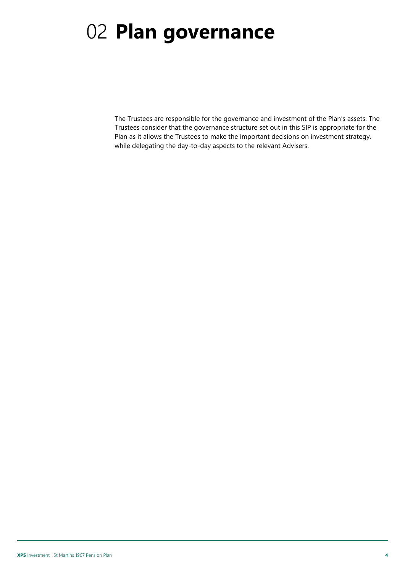## <span id="page-3-0"></span>02 **Plan governance**

The Trustees are responsible for the governance and investment of the Plan's assets. The Trustees consider that the governance structure set out in this SIP is appropriate for the Plan as it allows the Trustees to make the important decisions on investment strategy, while delegating the day-to-day aspects to the relevant Advisers.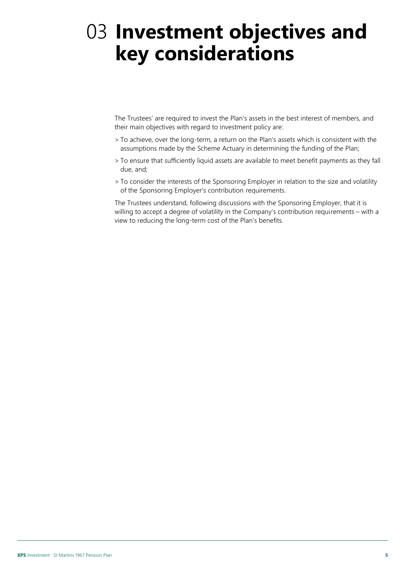### <span id="page-4-0"></span>03 **Investment objectives and key considerations**

The Trustees' are required to invest the Plan's assets in the best interest of members, and their main objectives with regard to investment policy are:

- > To achieve, over the long-term, a return on the Plan's assets which is consistent with the assumptions made by the Scheme Actuary in determining the funding of the Plan;
- > To ensure that sufficiently liquid assets are available to meet benefit payments as they fall due, and;
- > To consider the interests of the Sponsoring Employer in relation to the size and volatility of the Sponsoring Employer's contribution requirements.

The Trustees understand, following discussions with the Sponsoring Employer, that it is willing to accept a degree of volatility in the Company's contribution requirements – with a view to reducing the long-term cost of the Plan's benefits.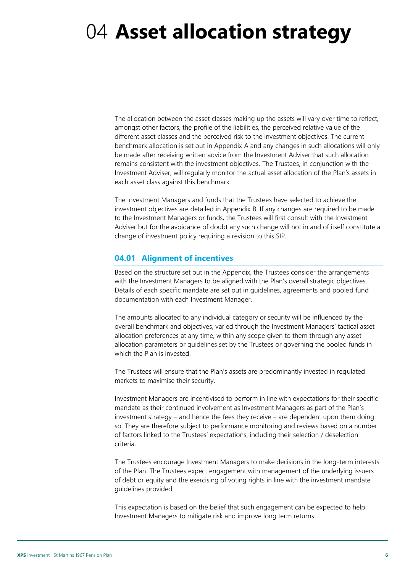### <span id="page-5-0"></span>04 **Asset allocation strategy**

The allocation between the asset classes making up the assets will vary over time to reflect, amongst other factors, the profile of the liabilities, the perceived relative value of the different asset classes and the perceived risk to the investment objectives. The current benchmark allocation is set out in Appendix A and any changes in such allocations will only be made after receiving written advice from the Investment Adviser that such allocation remains consistent with the investment objectives. The Trustees, in conjunction with the Investment Adviser, will regularly monitor the actual asset allocation of the Plan's assets in each asset class against this benchmark.

The Investment Managers and funds that the Trustees have selected to achieve the investment objectives are detailed in Appendix B. If any changes are required to be made to the Investment Managers or funds, the Trustees will first consult with the Investment Adviser but for the avoidance of doubt any such change will not in and of itself constitute a change of investment policy requiring a revision to this SIP.

#### **04.01 Alignment of incentives**

Based on the structure set out in the Appendix, the Trustees consider the arrangements with the Investment Managers to be aligned with the Plan's overall strategic objectives. Details of each specific mandate are set out in guidelines, agreements and pooled fund documentation with each Investment Manager.

The amounts allocated to any individual category or security will be influenced by the overall benchmark and objectives, varied through the Investment Managers' tactical asset allocation preferences at any time, within any scope given to them through any asset allocation parameters or guidelines set by the Trustees or governing the pooled funds in which the Plan is invested.

The Trustees will ensure that the Plan's assets are predominantly invested in regulated markets to maximise their security.

Investment Managers are incentivised to perform in line with expectations for their specific mandate as their continued involvement as Investment Managers as part of the Plan's investment strategy – and hence the fees they receive – are dependent upon them doing so. They are therefore subject to performance monitoring and reviews based on a number of factors linked to the Trustees' expectations, including their selection / deselection criteria.

The Trustees encourage Investment Managers to make decisions in the long-term interests of the Plan. The Trustees expect engagement with management of the underlying issuers of debt or equity and the exercising of voting rights in line with the investment mandate guidelines provided.

This expectation is based on the belief that such engagement can be expected to help Investment Managers to mitigate risk and improve long term returns.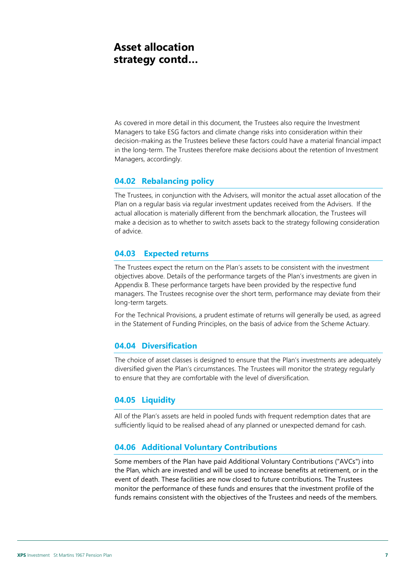### **Asset allocation strategy contd…**

As covered in more detail in this document, the Trustees also require the Investment Managers to take ESG factors and climate change risks into consideration within their decision-making as the Trustees believe these factors could have a material financial impact in the long-term. The Trustees therefore make decisions about the retention of Investment Managers, accordingly.

#### **04.02 Rebalancing policy**

The Trustees, in conjunction with the Advisers, will monitor the actual asset allocation of the Plan on a regular basis via regular investment updates received from the Advisers. If the actual allocation is materially different from the benchmark allocation, the Trustees will make a decision as to whether to switch assets back to the strategy following consideration of advice.

#### **04.03 Expected returns**

The Trustees expect the return on the Plan's assets to be consistent with the investment objectives above. Details of the performance targets of the Plan's investments are given in Appendix B. These performance targets have been provided by the respective fund managers. The Trustees recognise over the short term, performance may deviate from their long-term targets.

For the Technical Provisions, a prudent estimate of returns will generally be used, as agreed in the Statement of Funding Principles, on the basis of advice from the Scheme Actuary.

#### **04.04 Diversification**

The choice of asset classes is designed to ensure that the Plan's investments are adequately diversified given the Plan's circumstances. The Trustees will monitor the strategy regularly to ensure that they are comfortable with the level of diversification.

#### **04.05 Liquidity**

All of the Plan's assets are held in pooled funds with frequent redemption dates that are sufficiently liquid to be realised ahead of any planned or unexpected demand for cash.

#### **04.06 Additional Voluntary Contributions**

Some members of the Plan have paid Additional Voluntary Contributions ("AVCs") into the Plan, which are invested and will be used to increase benefits at retirement, or in the event of death. These facilities are now closed to future contributions. The Trustees monitor the performance of these funds and ensures that the investment profile of the funds remains consistent with the objectives of the Trustees and needs of the members.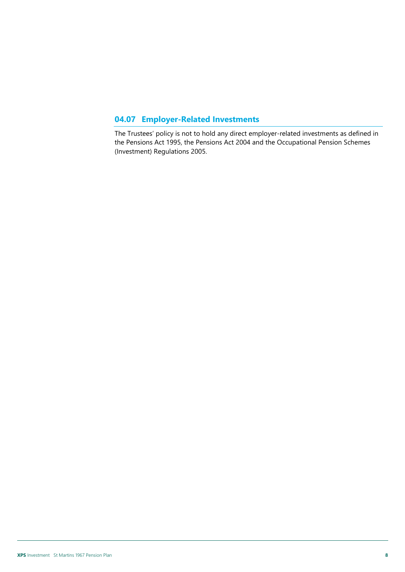### **04.07 Employer-Related Investments**

The Trustees' policy is not to hold any direct employer-related investments as defined in the Pensions Act 1995, the Pensions Act 2004 and the Occupational Pension Schemes (Investment) Regulations 2005.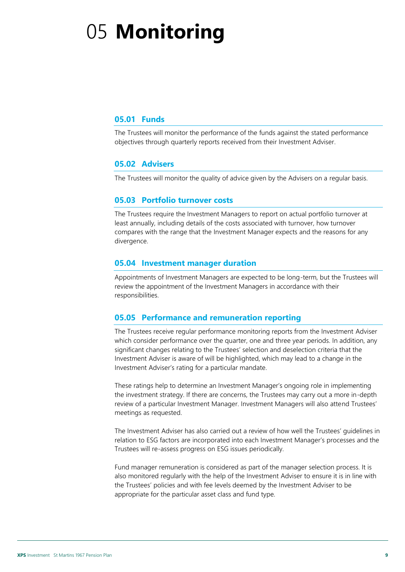# <span id="page-8-0"></span>05 **Monitoring**

#### **05.01 Funds**

The Trustees will monitor the performance of the funds against the stated performance objectives through quarterly reports received from their Investment Adviser.

#### **05.02 Advisers**

The Trustees will monitor the quality of advice given by the Advisers on a regular basis.

#### **05.03 Portfolio turnover costs**

The Trustees require the Investment Managers to report on actual portfolio turnover at least annually, including details of the costs associated with turnover, how turnover compares with the range that the Investment Manager expects and the reasons for any divergence.

#### **05.04 Investment manager duration**

Appointments of Investment Managers are expected to be long-term, but the Trustees will review the appointment of the Investment Managers in accordance with their responsibilities.

#### **05.05 Performance and remuneration reporting**

The Trustees receive regular performance monitoring reports from the Investment Adviser which consider performance over the quarter, one and three year periods. In addition, any significant changes relating to the Trustees' selection and deselection criteria that the Investment Adviser is aware of will be highlighted, which may lead to a change in the Investment Adviser's rating for a particular mandate.

These ratings help to determine an Investment Manager's ongoing role in implementing the investment strategy. If there are concerns, the Trustees may carry out a more in-depth review of a particular Investment Manager. Investment Managers will also attend Trustees' meetings as requested.

The Investment Adviser has also carried out a review of how well the Trustees' guidelines in relation to ESG factors are incorporated into each Investment Manager's processes and the Trustees will re-assess progress on ESG issues periodically.

Fund manager remuneration is considered as part of the manager selection process. It is also monitored regularly with the help of the Investment Adviser to ensure it is in line with the Trustees' policies and with fee levels deemed by the Investment Adviser to be appropriate for the particular asset class and fund type.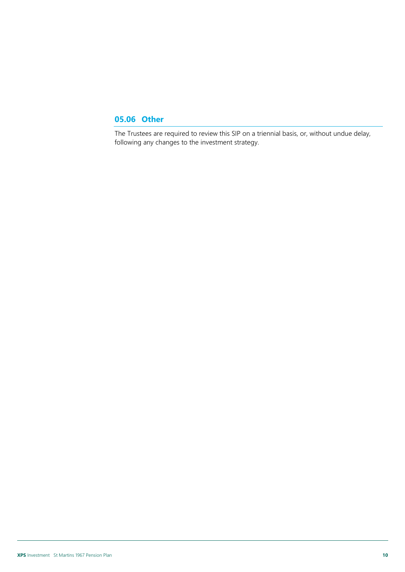#### **05.06 Other**

The Trustees are required to review this SIP on a triennial basis, or, without undue delay, following any changes to the investment strategy.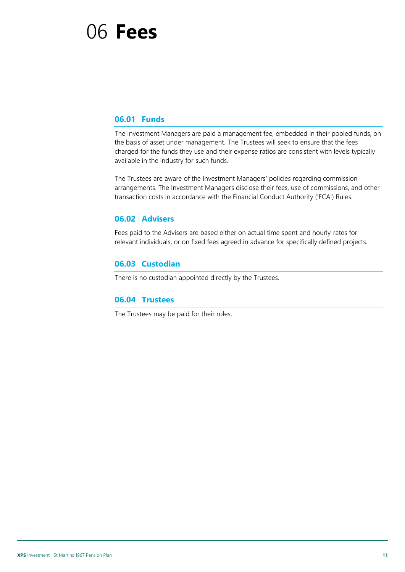### <span id="page-10-0"></span>06 **Fees**

#### **06.01 Funds**

The Investment Managers are paid a management fee, embedded in their pooled funds, on the basis of asset under management. The Trustees will seek to ensure that the fees charged for the funds they use and their expense ratios are consistent with levels typically available in the industry for such funds.

The Trustees are aware of the Investment Managers' policies regarding commission arrangements. The Investment Managers disclose their fees, use of commissions, and other transaction costs in accordance with the Financial Conduct Authority ('FCA') Rules.

#### **06.02 Advisers**

Fees paid to the Advisers are based either on actual time spent and hourly rates for relevant individuals, or on fixed fees agreed in advance for specifically defined projects.

#### **06.03 Custodian**

There is no custodian appointed directly by the Trustees.

#### **06.04 Trustees**

The Trustees may be paid for their roles.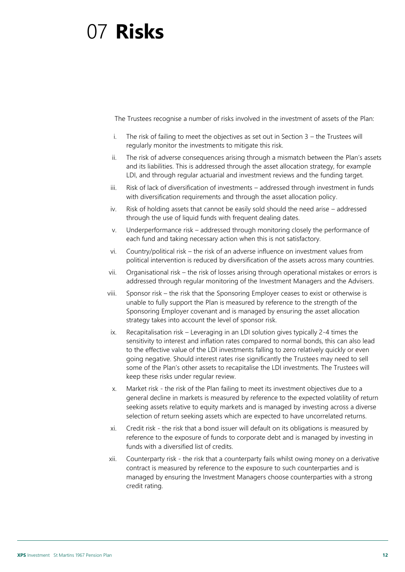### <span id="page-11-0"></span>07 **Risks**

The Trustees recognise a number of risks involved in the investment of assets of the Plan:

- i. The risk of failing to meet the objectives as set out in Section 3 the Trustees will regularly monitor the investments to mitigate this risk.
- ii. The risk of adverse consequences arising through a mismatch between the Plan's assets and its liabilities. This is addressed through the asset allocation strategy, for example LDI, and through regular actuarial and investment reviews and the funding target.
- iii. Risk of lack of diversification of investments addressed through investment in funds with diversification requirements and through the asset allocation policy.
- iv. Risk of holding assets that cannot be easily sold should the need arise addressed through the use of liquid funds with frequent dealing dates.
- v. Underperformance risk addressed through monitoring closely the performance of each fund and taking necessary action when this is not satisfactory.
- vi. Country/political risk the risk of an adverse influence on investment values from political intervention is reduced by diversification of the assets across many countries.
- vii. Organisational risk the risk of losses arising through operational mistakes or errors is addressed through regular monitoring of the Investment Managers and the Advisers.
- viii. Sponsor risk the risk that the Sponsoring Employer ceases to exist or otherwise is unable to fully support the Plan is measured by reference to the strength of the Sponsoring Employer covenant and is managed by ensuring the asset allocation strategy takes into account the level of sponsor risk.
- ix. Recapitalisation risk Leveraging in an LDI solution gives typically 2-4 times the sensitivity to interest and inflation rates compared to normal bonds, this can also lead to the effective value of the LDI investments falling to zero relatively quickly or even going negative. Should interest rates rise significantly the Trustees may need to sell some of the Plan's other assets to recapitalise the LDI investments. The Trustees will keep these risks under regular review.
- x. Market risk the risk of the Plan failing to meet its investment objectives due to a general decline in markets is measured by reference to the expected volatility of return seeking assets relative to equity markets and is managed by investing across a diverse selection of return seeking assets which are expected to have uncorrelated returns.
- xi. Credit risk the risk that a bond issuer will default on its obligations is measured by reference to the exposure of funds to corporate debt and is managed by investing in funds with a diversified list of credits.
- xii. Counterparty risk the risk that a counterparty fails whilst owing money on a derivative contract is measured by reference to the exposure to such counterparties and is managed by ensuring the Investment Managers choose counterparties with a strong credit rating.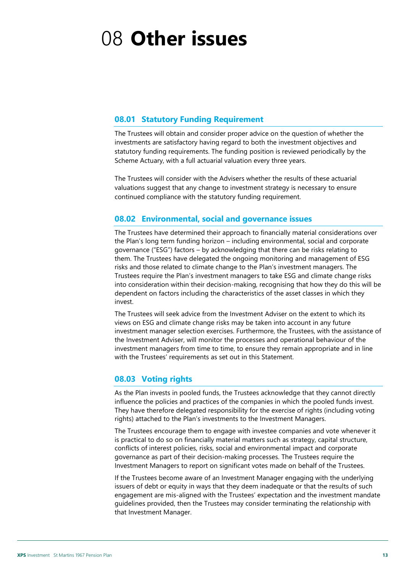## <span id="page-12-0"></span>08 **Other issues**

#### **08.01 Statutory Funding Requirement**

The Trustees will obtain and consider proper advice on the question of whether the investments are satisfactory having regard to both the investment objectives and statutory funding requirements. The funding position is reviewed periodically by the Scheme Actuary, with a full actuarial valuation every three years.

The Trustees will consider with the Advisers whether the results of these actuarial valuations suggest that any change to investment strategy is necessary to ensure continued compliance with the statutory funding requirement.

#### **08.02 Environmental, social and governance issues**

The Trustees have determined their approach to financially material considerations over the Plan's long term funding horizon – including environmental, social and corporate governance ("ESG") factors – by acknowledging that there can be risks relating to them. The Trustees have delegated the ongoing monitoring and management of ESG risks and those related to climate change to the Plan's investment managers. The Trustees require the Plan's investment managers to take ESG and climate change risks into consideration within their decision-making, recognising that how they do this will be dependent on factors including the characteristics of the asset classes in which they invest.

The Trustees will seek advice from the Investment Adviser on the extent to which its views on ESG and climate change risks may be taken into account in any future investment manager selection exercises. Furthermore, the Trustees, with the assistance of the Investment Adviser, will monitor the processes and operational behaviour of the investment managers from time to time, to ensure they remain appropriate and in line with the Trustees' requirements as set out in this Statement.

#### **08.03 Voting rights**

As the Plan invests in pooled funds, the Trustees acknowledge that they cannot directly influence the policies and practices of the companies in which the pooled funds invest. They have therefore delegated responsibility for the exercise of rights (including voting rights) attached to the Plan's investments to the Investment Managers.

The Trustees encourage them to engage with investee companies and vote whenever it is practical to do so on financially material matters such as strategy, capital structure, conflicts of interest policies, risks, social and environmental impact and corporate governance as part of their decision-making processes. The Trustees require the Investment Managers to report on significant votes made on behalf of the Trustees.

If the Trustees become aware of an Investment Manager engaging with the underlying issuers of debt or equity in ways that they deem inadequate or that the results of such engagement are mis-aligned with the Trustees' expectation and the investment mandate guidelines provided, then the Trustees may consider terminating the relationship with that Investment Manager.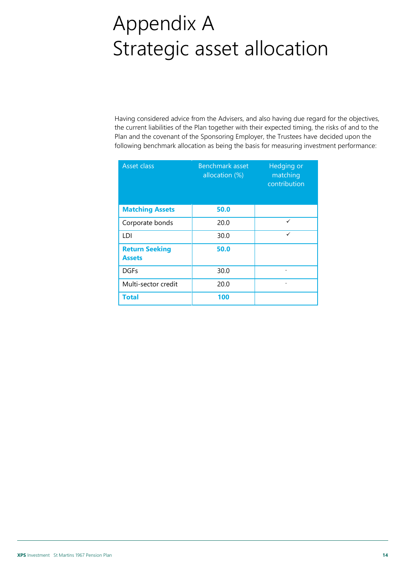# <span id="page-13-0"></span>Appendix A Strategic asset allocation

Having considered advice from the Advisers, and also having due regard for the objectives, the current liabilities of the Plan together with their expected timing, the risks of and to the Plan and the covenant of the Sponsoring Employer, the Trustees have decided upon the following benchmark allocation as being the basis for measuring investment performance:

| <b>Asset class</b>                     | Benchmark asset<br>allocation (%) | Hedging or<br>matching<br>contribution |
|----------------------------------------|-----------------------------------|----------------------------------------|
| <b>Matching Assets</b>                 | 50.0                              |                                        |
| Corporate bonds                        | 20.0                              | ✓                                      |
| LDI                                    | 30.0                              | ✓                                      |
| <b>Return Seeking</b><br><b>Assets</b> | 50.0                              |                                        |
| <b>DGFs</b>                            | 30.0                              |                                        |
| Multi-sector credit                    | 20.0                              |                                        |
| <b>Total</b>                           | 100                               |                                        |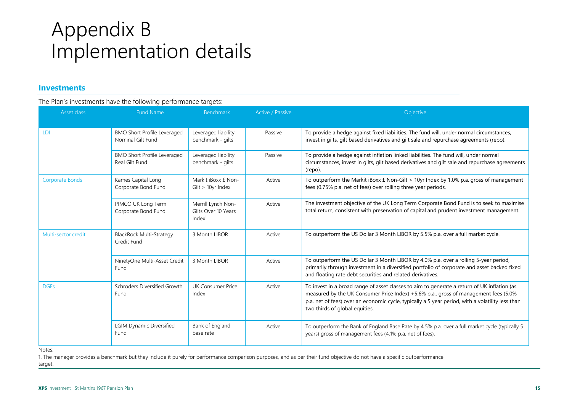### Appendix B Implementation details

#### **Investments**

#### The Plan's investments have the following performance targets:

<span id="page-14-0"></span>

| Asset class         | <b>Fund Name</b>                                        | Benchmark                                                       | Active / Passive | Objective                                                                                                                                                                                                                                                                                                                |
|---------------------|---------------------------------------------------------|-----------------------------------------------------------------|------------------|--------------------------------------------------------------------------------------------------------------------------------------------------------------------------------------------------------------------------------------------------------------------------------------------------------------------------|
| <b>LDI</b>          | <b>BMO Short Profile Leveraged</b><br>Nominal Gilt Fund | Leveraged liability<br>benchmark - gilts                        | Passive          | To provide a hedge against fixed liabilities. The fund will, under normal circumstances,<br>invest in gilts, gilt based derivatives and gilt sale and repurchase agreements (repo).                                                                                                                                      |
|                     | <b>BMO Short Profile Leveraged</b><br>Real Gilt Fund    | Leveraged liability<br>benchmark - gilts                        | Passive          | To provide a hedge against inflation linked liabilities. The fund will, under normal<br>circumstances, invest in gilts, gilt based derivatives and gilt sale and repurchase agreements<br>(repo).                                                                                                                        |
| Corporate Bonds     | Kames Capital Long<br>Corporate Bond Fund               | Markit iBoxx £ Non-<br>$Gilt > 10$ yr Index                     | Active           | To outperform the Markit iBoxx £ Non-Gilt > 10yr Index by 1.0% p.a. gross of management<br>fees (0.75% p.a. net of fees) over rolling three year periods.                                                                                                                                                                |
|                     | PIMCO UK Long Term<br>Corporate Bond Fund               | Merrill Lynch Non-<br>Gilts Over 10 Years<br>Index <sup>1</sup> | Active           | The investment objective of the UK Long Term Corporate Bond Fund is to seek to maximise<br>total return, consistent with preservation of capital and prudent investment management.                                                                                                                                      |
| Multi-sector credit | <b>BlackRock Multi-Strategy</b><br>Credit Fund          | 3 Month LIBOR                                                   | Active           | To outperform the US Dollar 3 Month LIBOR by 5.5% p.a. over a full market cycle.                                                                                                                                                                                                                                         |
|                     | NinetyOne Multi-Asset Credit<br>Fund                    | 3 Month LIBOR                                                   | Active           | To outperform the US Dollar 3 Month LIBOR by 4.0% p.a. over a rolling 5-year period,<br>primarily through investment in a diversified portfolio of corporate and asset backed fixed<br>and floating rate debt securities and related derivatives.                                                                        |
| <b>DGFs</b>         | Schroders Diversified Growth<br>Fund                    | UK Consumer Price<br>Index                                      | Active           | To invest in a broad range of asset classes to aim to generate a return of UK inflation (as<br>measured by the UK Consumer Price Index) +5.6% p.a., gross of management fees (5.0%<br>p.a. net of fees) over an economic cycle, typically a 5 year period, with a volatility less than<br>two thirds of global equities. |
|                     | <b>LGIM Dynamic Diversified</b><br>Fund                 | Bank of England<br>base rate                                    | Active           | To outperform the Bank of England Base Rate by 4.5% p.a. over a full market cycle (typically 5<br>years) gross of management fees (4.1% p.a. net of fees).                                                                                                                                                               |

Notes:

1. The manager provides a benchmark but they include it purely for performance comparison purposes, and as per their fund objective do not have a specific outperformance

target.